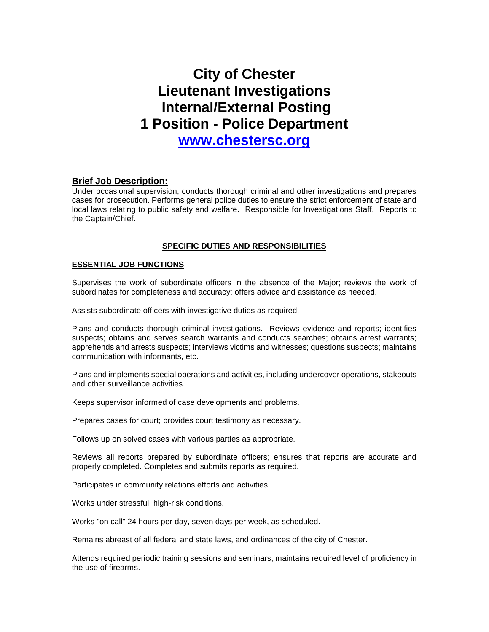# **City of Chester Lieutenant Investigations Internal/External Posting 1 Position - Police Department**

**[www.chestersc.org](http://www.chestersc.org/)**

## **Brief Job Description:**

Under occasional supervision, conducts thorough criminal and other investigations and prepares cases for prosecution. Performs general police duties to ensure the strict enforcement of state and local laws relating to public safety and welfare. Responsible for Investigations Staff. Reports to the Captain/Chief.

## **SPECIFIC DUTIES AND RESPONSIBILITIES**

## **ESSENTIAL JOB FUNCTIONS**

Supervises the work of subordinate officers in the absence of the Major; reviews the work of subordinates for completeness and accuracy; offers advice and assistance as needed.

Assists subordinate officers with investigative duties as required.

Plans and conducts thorough criminal investigations. Reviews evidence and reports; identifies suspects; obtains and serves search warrants and conducts searches; obtains arrest warrants; apprehends and arrests suspects; interviews victims and witnesses; questions suspects; maintains communication with informants, etc.

Plans and implements special operations and activities, including undercover operations, stakeouts and other surveillance activities.

Keeps supervisor informed of case developments and problems.

Prepares cases for court; provides court testimony as necessary.

Follows up on solved cases with various parties as appropriate.

Reviews all reports prepared by subordinate officers; ensures that reports are accurate and properly completed. Completes and submits reports as required.

Participates in community relations efforts and activities.

Works under stressful, high-risk conditions.

Works "on call" 24 hours per day, seven days per week, as scheduled.

Remains abreast of all federal and state laws, and ordinances of the city of Chester.

Attends required periodic training sessions and seminars; maintains required level of proficiency in the use of firearms.